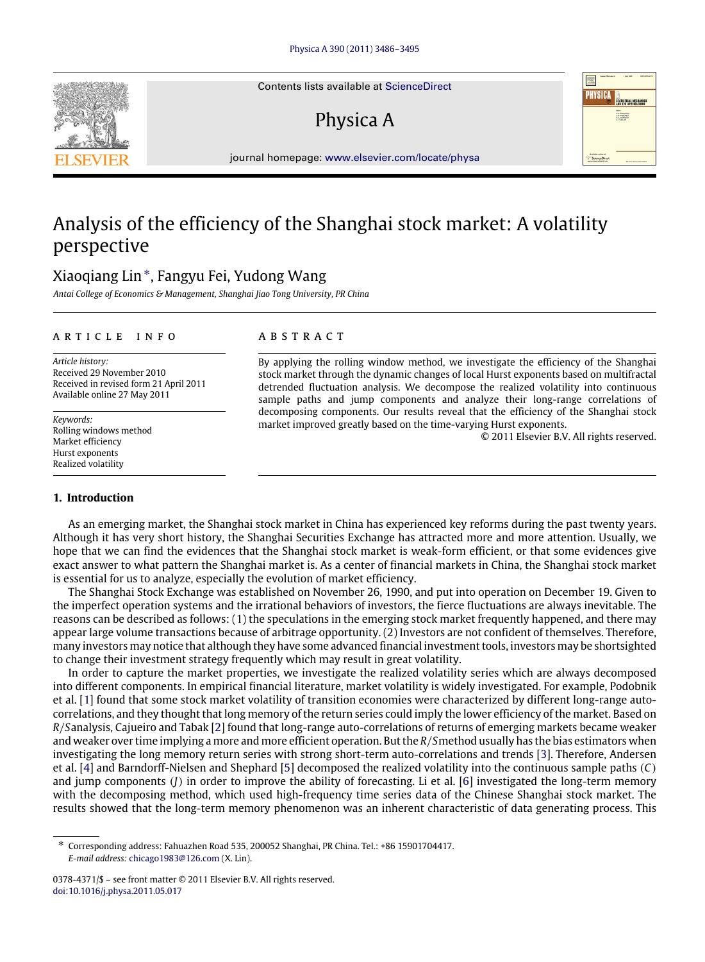Contents lists available at [ScienceDirect](http://www.elsevier.com/locate/physa)

# Physica A



journal homepage: [www.elsevier.com/locate/physa](http://www.elsevier.com/locate/physa)

# Analysis of the efficiency of the Shanghai stock market: A volatility perspective

## Xiaoqiang Lin[∗](#page-0-0) , Fangyu Fei, Yudong Wang

*Antai College of Economics & Management, Shanghai Jiao Tong University, PR China*

### a r t i c l e i n f o

*Article history:* Received 29 November 2010 Received in revised form 21 April 2011 Available online 27 May 2011

*Keywords:* Rolling windows method Market efficiency Hurst exponents Realized volatility

### **1. Introduction**

### a b s t r a c t

By applying the rolling window method, we investigate the efficiency of the Shanghai stock market through the dynamic changes of local Hurst exponents based on multifractal detrended fluctuation analysis. We decompose the realized volatility into continuous sample paths and jump components and analyze their long-range correlations of decomposing components. Our results reveal that the efficiency of the Shanghai stock market improved greatly based on the time-varying Hurst exponents.

© 2011 Elsevier B.V. All rights reserved.

As an emerging market, the Shanghai stock market in China has experienced key reforms during the past twenty years. Although it has very short history, the Shanghai Securities Exchange has attracted more and more attention. Usually, we hope that we can find the evidences that the Shanghai stock market is weak-form efficient, or that some evidences give exact answer to what pattern the Shanghai market is. As a center of financial markets in China, the Shanghai stock market is essential for us to analyze, especially the evolution of market efficiency.

The Shanghai Stock Exchange was established on November 26, 1990, and put into operation on December 19. Given to the imperfect operation systems and the irrational behaviors of investors, the fierce fluctuations are always inevitable. The reasons can be described as follows: (1) the speculations in the emerging stock market frequently happened, and there may appear large volume transactions because of arbitrage opportunity. (2) Investors are not confident of themselves. Therefore, many investors may notice that although they have some advanced financial investment tools, investors may be shortsighted to change their investment strategy frequently which may result in great volatility.

In order to capture the market properties, we investigate the realized volatility series which are always decomposed into different components. In empirical financial literature, market volatility is widely investigated. For example, Podobnik et al. [\[1\]](#page--1-0) found that some stock market volatility of transition economies were characterized by different long-range autocorrelations, and they thought that long memory of the return series could imply the lower efficiency of the market. Based on *R*/*S*analysis, Cajueiro and Tabak [\[2\]](#page--1-1) found that long-range auto-correlations of returns of emerging markets became weaker and weaker over time implying a more and more efficient operation. But the *R*/*S*method usually has the bias estimators when investigating the long memory return series with strong short-term auto-correlations and trends [\[3\]](#page--1-2). Therefore, Andersen et al. [\[4\]](#page--1-3) and Barndorff-Nielsen and Shephard [\[5\]](#page--1-4) decomposed the realized volatility into the continuous sample paths (*C*) and jump components (*J*) in order to improve the ability of forecasting. Li et al. [\[6\]](#page--1-5) investigated the long-term memory with the decomposing method, which used high-frequency time series data of the Chinese Shanghai stock market. The results showed that the long-term memory phenomenon was an inherent characteristic of data generating process. This



<span id="page-0-0"></span><sup>∗</sup> Corresponding address: Fahuazhen Road 535, 200052 Shanghai, PR China. Tel.: +86 15901704417. *E-mail address:* [chicago1983@126.com](mailto:chicago1983@126.com) (X. Lin).

<sup>0378-4371/\$ –</sup> see front matter © 2011 Elsevier B.V. All rights reserved. [doi:10.1016/j.physa.2011.05.017](http://dx.doi.org/10.1016/j.physa.2011.05.017)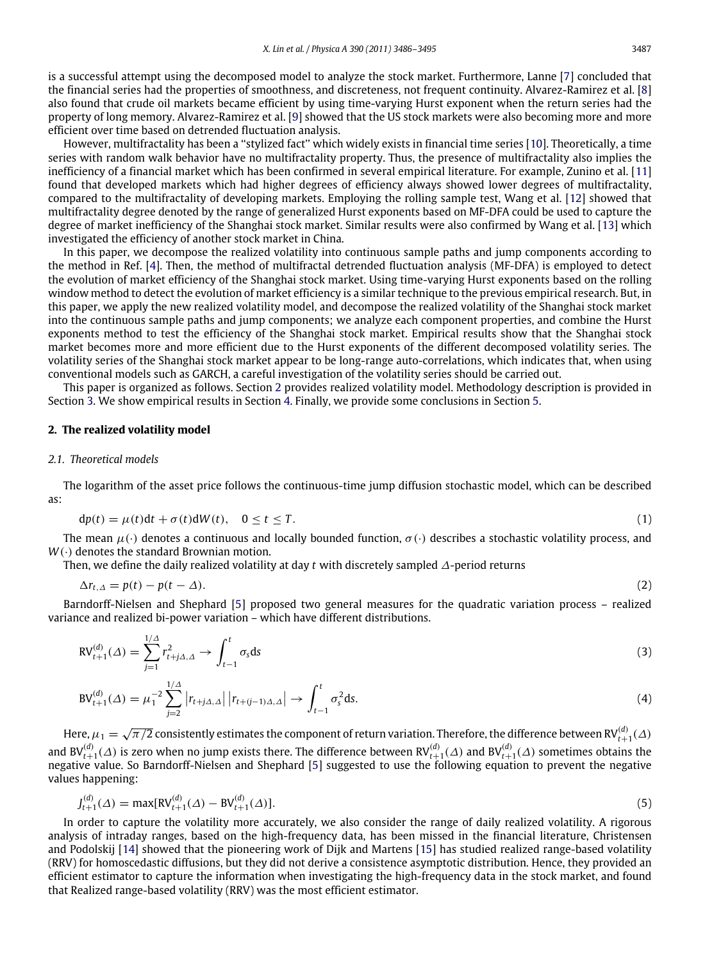is a successful attempt using the decomposed model to analyze the stock market. Furthermore, Lanne [\[7\]](#page--1-6) concluded that the financial series had the properties of smoothness, and discreteness, not frequent continuity. Alvarez-Ramirez et al. [\[8\]](#page--1-7) also found that crude oil markets became efficient by using time-varying Hurst exponent when the return series had the property of long memory. Alvarez-Ramirez et al. [\[9\]](#page--1-8) showed that the US stock markets were also becoming more and more efficient over time based on detrended fluctuation analysis.

However, multifractality has been a ''stylized fact'' which widely exists in financial time series [\[10\]](#page--1-9). Theoretically, a time series with random walk behavior have no multifractality property. Thus, the presence of multifractality also implies the inefficiency of a financial market which has been confirmed in several empirical literature. For example, Zunino et al. [\[11\]](#page--1-10) found that developed markets which had higher degrees of efficiency always showed lower degrees of multifractality, compared to the multifractality of developing markets. Employing the rolling sample test, Wang et al. [\[12\]](#page--1-11) showed that multifractality degree denoted by the range of generalized Hurst exponents based on MF-DFA could be used to capture the degree of market inefficiency of the Shanghai stock market. Similar results were also confirmed by Wang et al. [\[13\]](#page--1-12) which investigated the efficiency of another stock market in China.

In this paper, we decompose the realized volatility into continuous sample paths and jump components according to the method in Ref. [\[4\]](#page--1-3). Then, the method of multifractal detrended fluctuation analysis (MF-DFA) is employed to detect the evolution of market efficiency of the Shanghai stock market. Using time-varying Hurst exponents based on the rolling window method to detect the evolution of market efficiency is a similar technique to the previous empirical research. But, in this paper, we apply the new realized volatility model, and decompose the realized volatility of the Shanghai stock market into the continuous sample paths and jump components; we analyze each component properties, and combine the Hurst exponents method to test the efficiency of the Shanghai stock market. Empirical results show that the Shanghai stock market becomes more and more efficient due to the Hurst exponents of the different decomposed volatility series. The volatility series of the Shanghai stock market appear to be long-range auto-correlations, which indicates that, when using conventional models such as GARCH, a careful investigation of the volatility series should be carried out.

This paper is organized as follows. Section [2](#page-1-0) provides realized volatility model. Methodology description is provided in Section [3.](#page--1-13) We show empirical results in Section [4.](#page--1-14) Finally, we provide some conclusions in Section [5.](#page--1-15)

#### <span id="page-1-0"></span>**2. The realized volatility model**

#### *2.1. Theoretical models*

The logarithm of the asset price follows the continuous-time jump diffusion stochastic model, which can be described as:

$$
dp(t) = \mu(t)dt + \sigma(t)dW(t), \quad 0 \le t \le T.
$$
\n(1)

The mean  $\mu(\cdot)$  denotes a continuous and locally bounded function,  $\sigma(\cdot)$  describes a stochastic volatility process, and *W*(·) denotes the standard Brownian motion.

Then, we define the daily realized volatility at day *t* with discretely sampled ∆-period returns

$$
\Delta r_{t,\Delta} = p(t) - p(t - \Delta). \tag{2}
$$

Barndorff-Nielsen and Shephard [\[5\]](#page--1-4) proposed two general measures for the quadratic variation process – realized variance and realized bi-power variation – which have different distributions.

$$
RV_{t+1}^{(d)}(A) = \sum_{j=1}^{1/A} r_{t+jA,A}^2 \to \int_{t-1}^t \sigma_s ds
$$
 (3)

$$
BV_{t+1}^{(d)}(\Delta) = \mu_1^{-2} \sum_{j=2}^{1/\Delta} |r_{t+j\Delta,\Delta}| |r_{t+(j-1)\Delta,\Delta}| \to \int_{t-1}^t \sigma_s^2 ds.
$$
 (4)

Here,  $\mu_1=\sqrt{\pi/2}$  consistently estimates the component of return variation. Therefore, the difference between RV $_{t+1}^{(d)}(\varDelta)$ and BV $t+1}^{(d)}(\Delta)$  is zero when no jump exists there. The difference between RV $t+1}^{(d)}(\Delta)$  and BV $t+1}^{(d)}(\Delta)$  sometimes obtains the negative value. So Barndorff-Nielsen and Shephard [\[5\]](#page--1-4) suggested to use the following equation to prevent the negative values happening:

$$
J_{t+1}^{(d)}(\Delta) = \max[RV_{t+1}^{(d)}(\Delta) - BV_{t+1}^{(d)}(\Delta)].
$$
\n(5)

In order to capture the volatility more accurately, we also consider the range of daily realized volatility. A rigorous analysis of intraday ranges, based on the high-frequency data, has been missed in the financial literature, Christensen and Podolskij [\[14\]](#page--1-16) showed that the pioneering work of Dijk and Martens [\[15\]](#page--1-17) has studied realized range-based volatility (RRV) for homoscedastic diffusions, but they did not derive a consistence asymptotic distribution. Hence, they provided an efficient estimator to capture the information when investigating the high-frequency data in the stock market, and found that Realized range-based volatility (RRV) was the most efficient estimator.